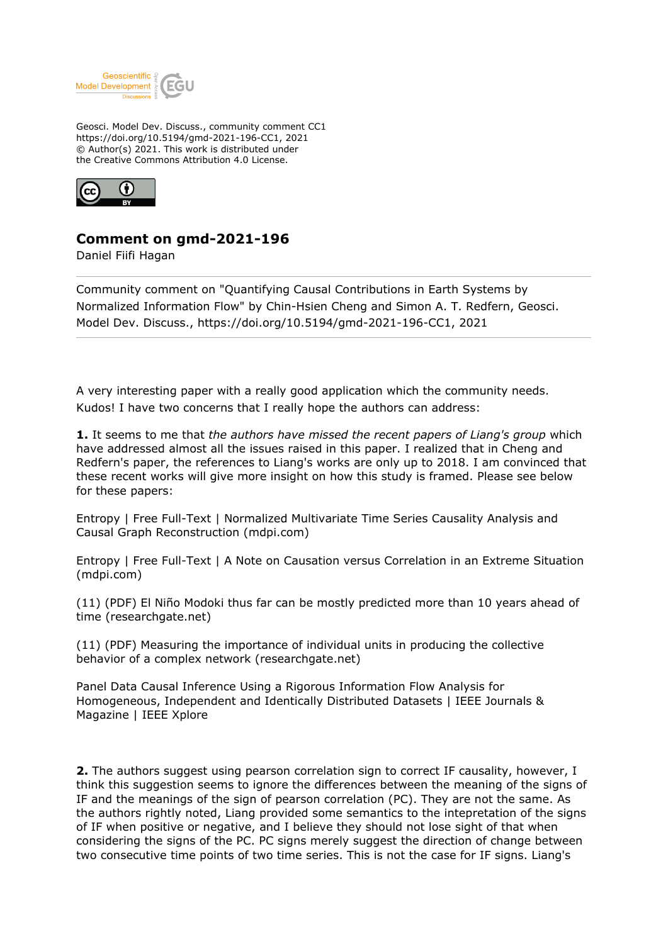

Geosci. Model Dev. Discuss., community comment CC1 https://doi.org/10.5194/gmd-2021-196-CC1, 2021 © Author(s) 2021. This work is distributed under the Creative Commons Attribution 4.0 License.



## **Comment on gmd-2021-196**

Daniel Fiifi Hagan

Community comment on "Quantifying Causal Contributions in Earth Systems by Normalized Information Flow" by Chin-Hsien Cheng and Simon A. T. Redfern, Geosci. Model Dev. Discuss., https://doi.org/10.5194/gmd-2021-196-CC1, 2021

A very interesting paper with a really good application which the community needs. Kudos! I have two concerns that I really hope the authors can address:

**1.** It seems to me that *the authors have missed the recent papers of Liang's group* which have addressed almost all the issues raised in this paper. I realized that in Cheng and Redfern's paper, the references to Liang's works are only up to 2018. I am convinced that these recent works will give more insight on how this study is framed. Please see below for these papers:

Entropy | Free Full-Text | Normalized Multivariate Time Series Causality Analysis and Causal Graph Reconstruction (mdpi.com)

Entropy | Free Full-Text | A Note on Causation versus Correlation in an Extreme Situation (mdpi.com)

(11) (PDF) El Niño Modoki thus far can be mostly predicted more than 10 years ahead of time (researchgate.net)

(11) (PDF) Measuring the importance of individual units in producing the collective behavior of a complex network (researchgate.net)

Panel Data Causal Inference Using a Rigorous Information Flow Analysis for Homogeneous, Independent and Identically Distributed Datasets | IEEE Journals & Magazine | IEEE Xplore

**2.** The authors suggest using pearson correlation sign to correct IF causality, however, I think this suggestion seems to ignore the differences between the meaning of the signs of IF and the meanings of the sign of pearson correlation (PC). They are not the same. As the authors rightly noted, Liang provided some semantics to the intepretation of the signs of IF when positive or negative, and I believe they should not lose sight of that when considering the signs of the PC. PC signs merely suggest the direction of change between two consecutive time points of two time series. This is not the case for IF signs. Liang's